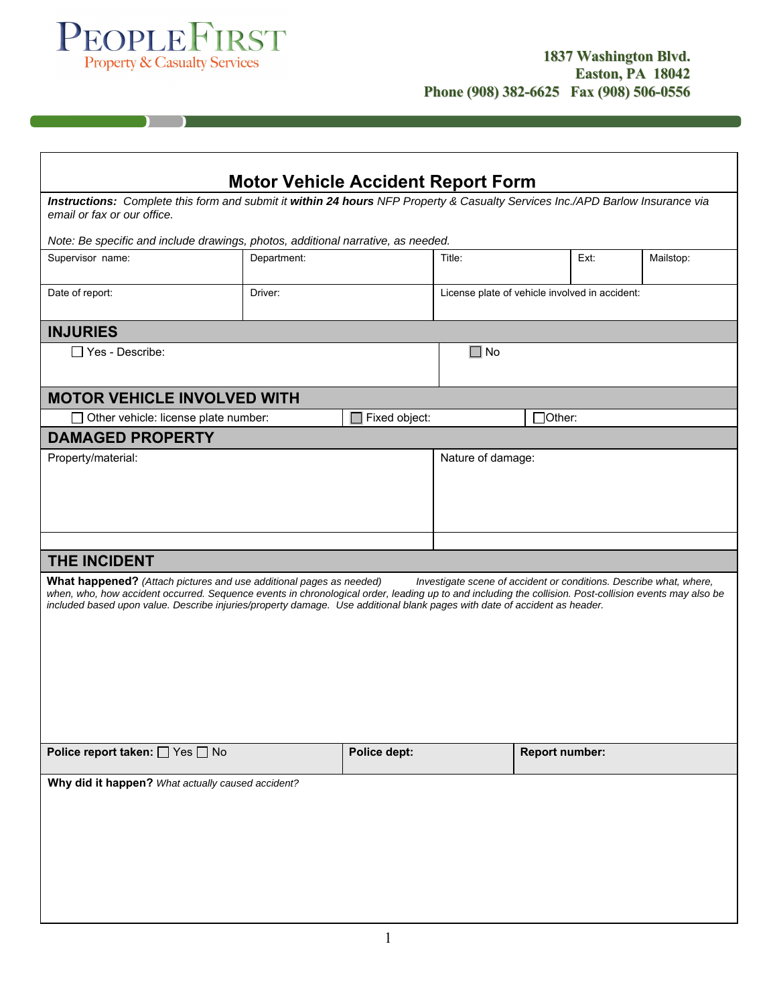

 $\begin{pmatrix} 1 & 1 \\ 1 & 1 \end{pmatrix}$ 

| <b>Motor Vehicle Accident Report Form</b>                                                                                                                                                                                                                                                                                                                                                                                               |             |                   |                                                |                       |      |           |
|-----------------------------------------------------------------------------------------------------------------------------------------------------------------------------------------------------------------------------------------------------------------------------------------------------------------------------------------------------------------------------------------------------------------------------------------|-------------|-------------------|------------------------------------------------|-----------------------|------|-----------|
| Instructions: Complete this form and submit it within 24 hours NFP Property & Casualty Services Inc./APD Barlow Insurance via<br>email or fax or our office.                                                                                                                                                                                                                                                                            |             |                   |                                                |                       |      |           |
| Note: Be specific and include drawings, photos, additional narrative, as needed.                                                                                                                                                                                                                                                                                                                                                        |             |                   |                                                |                       |      |           |
| Supervisor name:                                                                                                                                                                                                                                                                                                                                                                                                                        | Department: |                   | Title:                                         |                       | Ext: | Mailstop: |
| Date of report:                                                                                                                                                                                                                                                                                                                                                                                                                         | Driver:     |                   | License plate of vehicle involved in accident: |                       |      |           |
| <b>INJURIES</b>                                                                                                                                                                                                                                                                                                                                                                                                                         |             |                   |                                                |                       |      |           |
| $\Box$ Yes - Describe:                                                                                                                                                                                                                                                                                                                                                                                                                  |             |                   | $\square$ No                                   |                       |      |           |
| <b>MOTOR VEHICLE INVOLVED WITH</b>                                                                                                                                                                                                                                                                                                                                                                                                      |             |                   |                                                |                       |      |           |
| Other vehicle: license plate number:                                                                                                                                                                                                                                                                                                                                                                                                    |             | Fixed object:     | Other:                                         |                       |      |           |
| <b>DAMAGED PROPERTY</b>                                                                                                                                                                                                                                                                                                                                                                                                                 |             |                   |                                                |                       |      |           |
| Property/material:                                                                                                                                                                                                                                                                                                                                                                                                                      |             | Nature of damage: |                                                |                       |      |           |
|                                                                                                                                                                                                                                                                                                                                                                                                                                         |             |                   |                                                |                       |      |           |
| THE INCIDENT                                                                                                                                                                                                                                                                                                                                                                                                                            |             |                   |                                                |                       |      |           |
| <b>What happened?</b> (Attach pictures and use additional pages as needed)<br>Investigate scene of accident or conditions. Describe what, where,<br>when, who, how accident occurred. Sequence events in chronological order, leading up to and including the collision. Post-collision events may also be<br>included based upon value. Describe injuries/property damage. Use additional blank pages with date of accident as header. |             |                   |                                                |                       |      |           |
| Police report taken: □ Yes □ No                                                                                                                                                                                                                                                                                                                                                                                                         |             | Police dept:      |                                                | <b>Report number:</b> |      |           |
| Why did it happen? What actually caused accident?                                                                                                                                                                                                                                                                                                                                                                                       |             |                   |                                                |                       |      |           |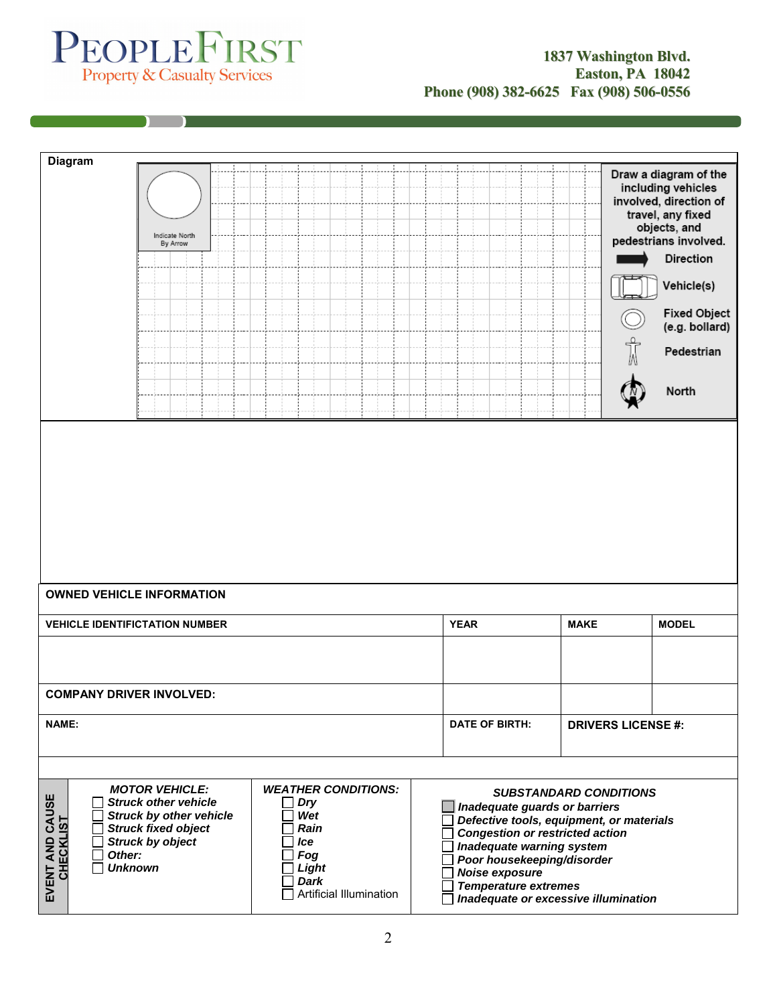## PEOPLE FIRST

n

| <b>Diagram</b>                      |                                                                                                                                                                             |                                                                                                                   |  |                                                                                                                                                                                                                                                                         |                               |                                                                                                                                                                                                                                |
|-------------------------------------|-----------------------------------------------------------------------------------------------------------------------------------------------------------------------------|-------------------------------------------------------------------------------------------------------------------|--|-------------------------------------------------------------------------------------------------------------------------------------------------------------------------------------------------------------------------------------------------------------------------|-------------------------------|--------------------------------------------------------------------------------------------------------------------------------------------------------------------------------------------------------------------------------|
|                                     | Indicate North<br>By Arrow                                                                                                                                                  |                                                                                                                   |  |                                                                                                                                                                                                                                                                         | Ŵ                             | Draw a diagram of the<br>including vehicles<br>involved, direction of<br>travel, any fixed<br>objects, and<br>pedestrians involved.<br>Direction<br>Vehicle(s)<br><b>Fixed Object</b><br>(e.g. bollard)<br>Pedestrian<br>North |
|                                     |                                                                                                                                                                             |                                                                                                                   |  |                                                                                                                                                                                                                                                                         |                               |                                                                                                                                                                                                                                |
|                                     |                                                                                                                                                                             |                                                                                                                   |  |                                                                                                                                                                                                                                                                         |                               |                                                                                                                                                                                                                                |
| <b>OWNED VEHICLE INFORMATION</b>    |                                                                                                                                                                             |                                                                                                                   |  |                                                                                                                                                                                                                                                                         |                               |                                                                                                                                                                                                                                |
|                                     | <b>VEHICLE IDENTIFICTATION NUMBER</b>                                                                                                                                       |                                                                                                                   |  | <b>YEAR</b>                                                                                                                                                                                                                                                             | <b>MAKE</b>                   | <b>MODEL</b>                                                                                                                                                                                                                   |
|                                     |                                                                                                                                                                             |                                                                                                                   |  |                                                                                                                                                                                                                                                                         |                               |                                                                                                                                                                                                                                |
| <b>COMPANY DRIVER INVOLVED:</b>     |                                                                                                                                                                             |                                                                                                                   |  |                                                                                                                                                                                                                                                                         |                               |                                                                                                                                                                                                                                |
| <b>NAME:</b>                        |                                                                                                                                                                             |                                                                                                                   |  | <b>DATE OF BIRTH:</b>                                                                                                                                                                                                                                                   | <b>DRIVERS LICENSE #:</b>     |                                                                                                                                                                                                                                |
|                                     |                                                                                                                                                                             |                                                                                                                   |  |                                                                                                                                                                                                                                                                         |                               |                                                                                                                                                                                                                                |
| EVENT AND CAUSE<br><b>CHECKLIST</b> | <b>MOTOR VEHICLE:</b><br><b>Struck other vehicle</b><br><b>Struck by other vehicle</b><br><b>Struck fixed object</b><br><b>Struck by object</b><br>Other:<br><b>Unknown</b> | <b>WEATHER CONDITIONS:</b><br><b>Dry</b><br>Wet<br>Rain<br>Ice<br>Fog<br>Light<br>Dark<br>Artificial Illumination |  | Inadequate guards or barriers<br>Defective tools, equipment, or materials<br><b>Congestion or restricted action</b><br>Inadequate warning system<br>Poor housekeeping/disorder<br>Noise exposure<br><b>Temperature extremes</b><br>Inadequate or excessive illumination | <b>SUBSTANDARD CONDITIONS</b> |                                                                                                                                                                                                                                |